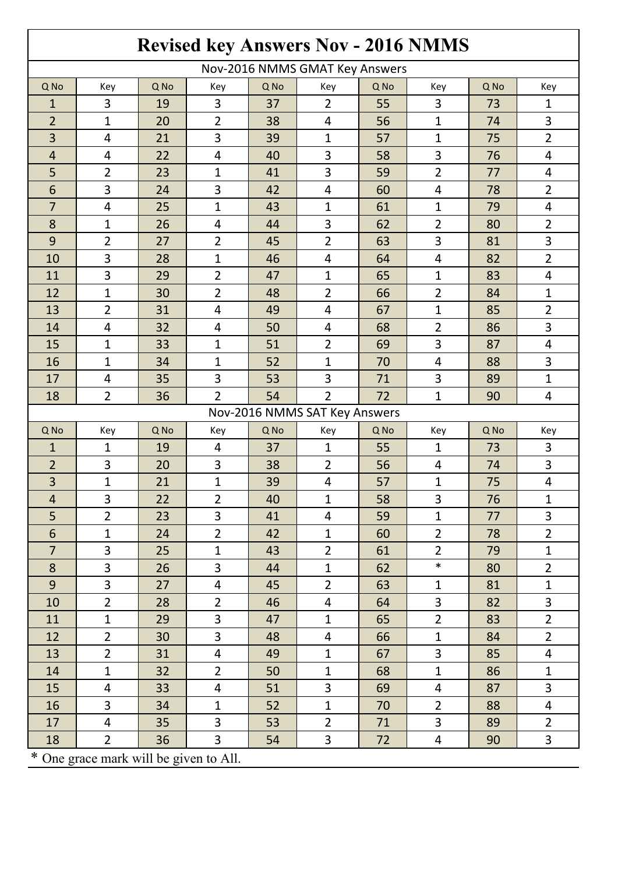|                                        |                         |      |                |      |                |      | <b>Revised key Answers Nov - 2016 NMMS</b> |      |                         |  |  |
|----------------------------------------|-------------------------|------|----------------|------|----------------|------|--------------------------------------------|------|-------------------------|--|--|
| Nov-2016 NMMS GMAT Key Answers         |                         |      |                |      |                |      |                                            |      |                         |  |  |
| Q No                                   | Key                     | Q No | Key            | Q No | Key            | Q No | Key                                        | Q No | Key                     |  |  |
| $\mathbf{1}$                           | 3                       | 19   | 3              | 37   | $\overline{2}$ | 55   | 3                                          | 73   | $\mathbf{1}$            |  |  |
| $\overline{2}$                         | $\mathbf{1}$            | 20   | $\overline{2}$ | 38   | $\overline{4}$ | 56   | $\mathbf 1$                                | 74   | 3                       |  |  |
| 3                                      | $\overline{4}$          | 21   | 3              | 39   | $\mathbf{1}$   | 57   | $\mathbf{1}$                               | 75   | $\overline{2}$          |  |  |
| $\overline{4}$                         | 4                       | 22   | 4              | 40   | 3              | 58   | 3                                          | 76   | 4                       |  |  |
| 5                                      | $\overline{2}$          | 23   | $\mathbf{1}$   | 41   | 3              | 59   | $\overline{2}$                             | 77   | $\overline{4}$          |  |  |
| 6                                      | 3                       | 24   | 3              | 42   | 4              | 60   | 4                                          | 78   | $\overline{2}$          |  |  |
| 7                                      | 4                       | 25   | $\mathbf{1}$   | 43   | $\mathbf{1}$   | 61   | $\mathbf{1}$                               | 79   | 4                       |  |  |
| 8                                      | 1                       | 26   | 4              | 44   | 3              | 62   | $\overline{2}$                             | 80   | $\overline{2}$          |  |  |
| 9                                      | $\overline{2}$          | 27   | $\overline{2}$ | 45   | $\overline{2}$ | 63   | 3                                          | 81   | 3                       |  |  |
| 10                                     | 3                       | 28   | $\mathbf{1}$   | 46   | 4              | 64   | 4                                          | 82   | $\overline{2}$          |  |  |
| 11                                     | 3                       | 29   | $\overline{2}$ | 47   | $\mathbf{1}$   | 65   | $\mathbf{1}$                               | 83   | $\overline{4}$          |  |  |
| 12                                     | $\mathbf{1}$            | 30   | $\overline{2}$ | 48   | $\overline{2}$ | 66   | $\overline{2}$                             | 84   | $\mathbf{1}$            |  |  |
| 13                                     | $\overline{2}$          | 31   | $\overline{4}$ | 49   | $\overline{4}$ | 67   | $\mathbf{1}$                               | 85   | $\overline{2}$          |  |  |
| 14                                     | 4                       | 32   | 4              | 50   | 4              | 68   | $\overline{2}$                             | 86   | 3                       |  |  |
| 15                                     | $\mathbf{1}$            | 33   | $\mathbf{1}$   | 51   | $\overline{2}$ | 69   | 3                                          | 87   | 4                       |  |  |
| 16                                     | $\mathbf{1}$            | 34   | $\mathbf{1}$   | 52   | $\mathbf{1}$   | 70   | 4                                          | 88   | 3                       |  |  |
| 17                                     | $\overline{4}$          | 35   | 3              | 53   | 3              | 71   | 3                                          | 89   | $\mathbf{1}$            |  |  |
| 18                                     | $\overline{2}$          | 36   | $\overline{2}$ | 54   | $\overline{2}$ | 72   | $\mathbf{1}$                               | 90   | $\overline{4}$          |  |  |
| Nov-2016 NMMS SAT Key Answers          |                         |      |                |      |                |      |                                            |      |                         |  |  |
| Q No                                   | Key                     | Q No | Key            | Q No | Key            | Q No | Key                                        | Q No | Key                     |  |  |
| $\mathbf{1}$                           | 1                       | 19   | 4              | 37   | $\mathbf{1}$   | 55   | $\mathbf{1}$                               | 73   | 3                       |  |  |
| $\overline{2}$                         | 3                       | 20   | 3              | 38   | $\overline{2}$ | 56   | 4                                          | 74   | 3                       |  |  |
| 3                                      | 1                       | 21   | $\mathbf{1}$   | 39   | 4              | 57   | $\mathbf{1}$                               | 75   | $\overline{4}$          |  |  |
| $\overline{4}$                         | 3                       | 22   | $\overline{2}$ | 40   | $\mathbf{1}$   | 58   | $\mathbf{3}$                               | 76   | $\mathbf{1}$            |  |  |
| 5                                      | $\overline{2}$          | 23   | 3              | 41   | 4              | 59   | $\mathbf{1}$                               | 77   | 3                       |  |  |
| 6                                      | $\mathbf{1}$            | 24   | $\overline{2}$ | 42   | $\mathbf{1}$   | 60   | $\overline{2}$                             | 78   | $\overline{2}$          |  |  |
| $\overline{7}$                         | 3                       | 25   | $\mathbf{1}$   | 43   | $\overline{2}$ | 61   | $\overline{2}$                             | 79   | $\mathbf{1}$            |  |  |
| 8                                      | 3                       | 26   | 3              | 44   | $\mathbf{1}$   | 62   | $\ast$                                     | 80   | $\overline{2}$          |  |  |
| 9                                      | 3                       | 27   | $\overline{4}$ | 45   | $\overline{2}$ | 63   | $\mathbf{1}$                               | 81   | $\mathbf{1}$            |  |  |
| 10                                     | $\overline{2}$          | 28   | $\overline{2}$ | 46   | $\overline{4}$ | 64   | $\overline{3}$                             | 82   | 3                       |  |  |
| 11                                     | $\mathbf{1}$            | 29   | 3              | 47   | $\mathbf{1}$   | 65   | $\overline{2}$                             | 83   | $\overline{2}$          |  |  |
| 12                                     | $\overline{2}$          | 30   | $\overline{3}$ | 48   | $\overline{4}$ | 66   | $\mathbf{1}$                               | 84   | $\overline{2}$          |  |  |
| 13                                     | $\overline{2}$          | 31   | $\overline{4}$ | 49   | $\mathbf{1}$   | 67   | 3                                          | 85   | $\overline{\mathbf{4}}$ |  |  |
| 14                                     | $\mathbf{1}$            | 32   | $\overline{2}$ | 50   | $\mathbf{1}$   | 68   | $\mathbf{1}$                               | 86   | $\mathbf{1}$            |  |  |
| 15                                     | $\overline{\mathbf{r}}$ | 33   | $\overline{4}$ | 51   | $\overline{3}$ | 69   | $\overline{4}$                             | 87   | 3                       |  |  |
| 16                                     | $\overline{3}$          | 34   | $\mathbf{1}$   | 52   | $\mathbf{1}$   | 70   | $\overline{2}$                             | 88   | $\overline{4}$          |  |  |
| 17                                     | 4                       | 35   | 3              | 53   | $\overline{2}$ | 71   | $\overline{3}$                             | 89   | $\overline{2}$          |  |  |
| 18                                     | $\overline{2}$          | 36   | $\overline{3}$ | 54   | $\overline{3}$ | 72   | $\overline{\mathbf{4}}$                    | 90   | $\overline{3}$          |  |  |
| * One grace mark will be given to All. |                         |      |                |      |                |      |                                            |      |                         |  |  |